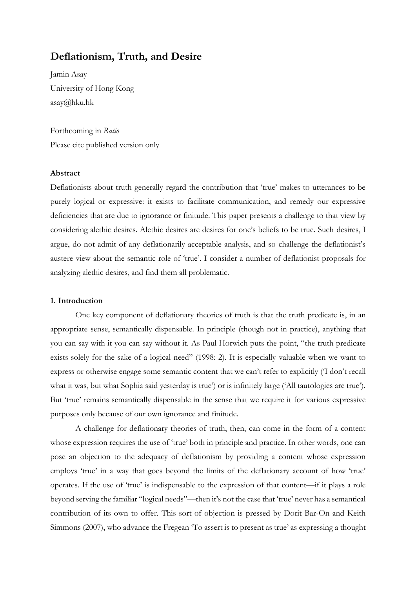# **Deflationism, Truth, and Desire**

Jamin Asay University of Hong Kong asay@hku.hk

Forthcoming in *Ratio* Please cite published version only

# **Abstract**

Deflationists about truth generally regard the contribution that 'true' makes to utterances to be purely logical or expressive: it exists to facilitate communication, and remedy our expressive deficiencies that are due to ignorance or finitude. This paper presents a challenge to that view by considering alethic desires. Alethic desires are desires for one's beliefs to be true. Such desires, I argue, do not admit of any deflationarily acceptable analysis, and so challenge the deflationist's austere view about the semantic role of 'true'. I consider a number of deflationist proposals for analyzing alethic desires, and find them all problematic.

#### **1. Introduction**

One key component of deflationary theories of truth is that the truth predicate is, in an appropriate sense, semantically dispensable. In principle (though not in practice), anything that you can say with it you can say without it. As Paul Horwich puts the point, "the truth predicate exists solely for the sake of a logical need" (1998: 2). It is especially valuable when we want to express or otherwise engage some semantic content that we can't refer to explicitly ('I don't recall what it was, but what Sophia said yesterday is true') or is infinitely large ('All tautologies are true'). But 'true' remains semantically dispensable in the sense that we require it for various expressive purposes only because of our own ignorance and finitude.

A challenge for deflationary theories of truth, then, can come in the form of a content whose expression requires the use of 'true' both in principle and practice. In other words, one can pose an objection to the adequacy of deflationism by providing a content whose expression employs 'true' in a way that goes beyond the limits of the deflationary account of how 'true' operates. If the use of 'true' is indispensable to the expression of that content—if it plays a role beyond serving the familiar "logical needs"—then it's not the case that 'true' never has a semantical contribution of its own to offer. This sort of objection is pressed by Dorit Bar-On and Keith Simmons (2007), who advance the Fregean 'To assert is to present as true' as expressing a thought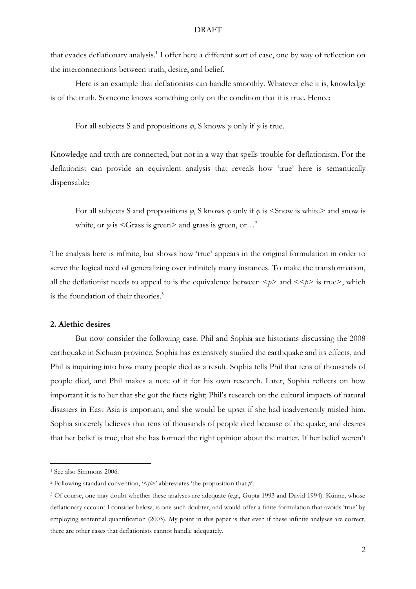that evades deflationary analysis.<sup>1</sup> I offer here a different sort of case, one by way of reflection on the interconnections between truth, desire, and belief.

Here is an example that deflationists can handle smoothly. Whatever else it is, knowledge is of the truth. Someone knows something only on the condition that it is true. Hence:

For all subjects S and propositions *φ*, S knows *φ* only if *φ* is true.

Knowledge and truth are connected, but not in a way that spells trouble for deflationism. For the deflationist can provide an equivalent analysis that reveals how 'true' here is semantically dispensable:

For all subjects S and propositions *φ*, S knows *φ* only if *φ* is <Snow is white> and snow is white, or  $\varphi$  is <Grass is green> and grass is green, or...<sup>2</sup>

The analysis here is infinite, but shows how 'true' appears in the original formulation in order to serve the logical need of generalizing over infinitely many instances. To make the transformation, all the deflationist needs to appeal to is the equivalence between  $\langle p \rangle$  and  $\langle \langle p \rangle$  is true), which is the foundation of their theories.<sup>3</sup>

### **2. Alethic desires**

But now consider the following case. Phil and Sophia are historians discussing the 2008 earthquake in Sichuan province. Sophia has extensively studied the earthquake and its effects, and Phil is inquiring into how many people died as a result. Sophia tells Phil that tens of thousands of people died, and Phil makes a note of it for his own research. Later, Sophia reflects on how important it is to her that she got the facts right; Phil's research on the cultural impacts of natural disasters in East Asia is important, and she would be upset if she had inadvertently misled him. Sophia sincerely believes that tens of thousands of people died because of the quake, and desires that her belief is true, that she has formed the right opinion about the matter. If her belief weren't

<sup>&</sup>lt;sup>1</sup> See also Simmons 2006.

<sup>2</sup> Following standard convention, '<*p*>' abbreviates 'the proposition that *p*'.

<sup>&</sup>lt;sup>3</sup> Of course, one may doubt whether these analyses are adequate (e.g., Gupta 1993 and David 1994). Künne, whose deflationary account I consider below, is one such doubter, and would offer a finite formulation that avoids 'true' by employing sentential quantification (2003). My point in this paper is that even if these infinite analyses are correct, there are other cases that deflationists cannot handle adequately.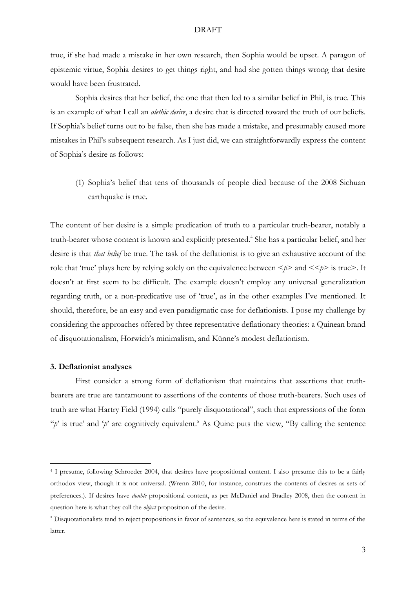true, if she had made a mistake in her own research, then Sophia would be upset. A paragon of epistemic virtue, Sophia desires to get things right, and had she gotten things wrong that desire would have been frustrated.

Sophia desires that her belief, the one that then led to a similar belief in Phil, is true. This is an example of what I call an *alethic desire*, a desire that is directed toward the truth of our beliefs. If Sophia's belief turns out to be false, then she has made a mistake, and presumably caused more mistakes in Phil's subsequent research. As I just did, we can straightforwardly express the content of Sophia's desire as follows:

(1) Sophia's belief that tens of thousands of people died because of the 2008 Sichuan earthquake is true.

The content of her desire is a simple predication of truth to a particular truth-bearer, notably a truth-bearer whose content is known and explicitly presented.<sup>4</sup> She has a particular belief, and her desire is that *that belief* be true. The task of the deflationist is to give an exhaustive account of the role that 'true' plays here by relying solely on the equivalence between  $\langle p \rangle$  and  $\langle \langle p \rangle$  is true). It doesn't at first seem to be difficult. The example doesn't employ any universal generalization regarding truth, or a non-predicative use of 'true', as in the other examples I've mentioned. It should, therefore, be an easy and even paradigmatic case for deflationists. I pose my challenge by considering the approaches offered by three representative deflationary theories: a Quinean brand of disquotationalism, Horwich's minimalism, and Künne's modest deflationism.

### **3. Deflationist analyses**

First consider a strong form of deflationism that maintains that assertions that truthbearers are true are tantamount to assertions of the contents of those truth-bearers. Such uses of truth are what Hartry Field (1994) calls "purely disquotational", such that expressions of the form " $p'$  is true' and ' $p'$  are cognitively equivalent.<sup>5</sup> As Quine puts the view, "By calling the sentence"

<sup>4</sup> I presume, following Schroeder 2004, that desires have propositional content. I also presume this to be a fairly orthodox view, though it is not universal. (Wrenn 2010, for instance, construes the contents of desires as sets of preferences.). If desires have *double* propositional content, as per McDaniel and Bradley 2008, then the content in question here is what they call the *object* proposition of the desire.

<sup>5</sup> Disquotationalists tend to reject propositions in favor of sentences, so the equivalence here is stated in terms of the latter.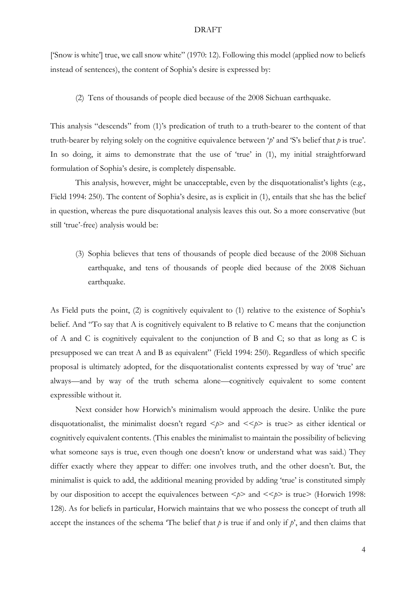['Snow is white'] true, we call snow white" (1970: 12). Following this model (applied now to beliefs instead of sentences), the content of Sophia's desire is expressed by:

(2) Tens of thousands of people died because of the 2008 Sichuan earthquake.

This analysis "descends" from (1)'s predication of truth to a truth-bearer to the content of that truth-bearer by relying solely on the cognitive equivalence between '*p*' and 'S's belief that *p* is true'. In so doing, it aims to demonstrate that the use of 'true' in (1), my initial straightforward formulation of Sophia's desire, is completely dispensable.

This analysis, however, might be unacceptable, even by the disquotationalist's lights (e.g., Field 1994: 250). The content of Sophia's desire, as is explicit in (1), entails that she has the belief in question, whereas the pure disquotational analysis leaves this out. So a more conservative (but still 'true'-free) analysis would be:

(3) Sophia believes that tens of thousands of people died because of the 2008 Sichuan earthquake, and tens of thousands of people died because of the 2008 Sichuan earthquake.

As Field puts the point, (2) is cognitively equivalent to (1) relative to the existence of Sophia's belief. And "To say that A is cognitively equivalent to B relative to C means that the conjunction of A and C is cognitively equivalent to the conjunction of B and C; so that as long as C is presupposed we can treat A and B as equivalent" (Field 1994: 250). Regardless of which specific proposal is ultimately adopted, for the disquotationalist contents expressed by way of 'true' are always—and by way of the truth schema alone—cognitively equivalent to some content expressible without it.

Next consider how Horwich's minimalism would approach the desire. Unlike the pure disquotationalist, the minimalist doesn't regard  $\langle p \rangle$  and  $\langle \langle p \rangle$  is true as either identical or cognitively equivalent contents. (This enables the minimalist to maintain the possibility of believing what someone says is true, even though one doesn't know or understand what was said.) They differ exactly where they appear to differ: one involves truth, and the other doesn't. But, the minimalist is quick to add, the additional meaning provided by adding 'true' is constituted simply by our disposition to accept the equivalences between  $\langle p \rangle$  and  $\langle \langle p \rangle$  is true  $\rangle$  (Horwich 1998: 128). As for beliefs in particular, Horwich maintains that we who possess the concept of truth all accept the instances of the schema  $\tau$ The belief that *p* is true if and only if *p*', and then claims that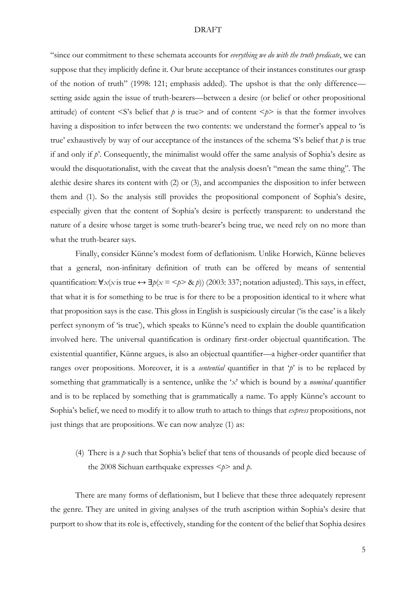"since our commitment to these schemata accounts for *everything we do with the truth predicate*, we can suppose that they implicitly define it. Our brute acceptance of their instances constitutes our grasp of the notion of truth" (1998: 121; emphasis added). The upshot is that the only difference setting aside again the issue of truth-bearers—between a desire (or belief or other propositional attitude) of content  $\leq$ S's belief that *p* is true> and of content  $\leq$ *p*> is that the former involves having a disposition to infer between the two contents: we understand the former's appeal to 'is true' exhaustively by way of our acceptance of the instances of the schema 'S's belief that *p* is true if and only if *p*'. Consequently, the minimalist would offer the same analysis of Sophia's desire as would the disquotationalist, with the caveat that the analysis doesn't "mean the same thing". The alethic desire shares its content with (2) or (3), and accompanies the disposition to infer between them and (1). So the analysis still provides the propositional component of Sophia's desire, especially given that the content of Sophia's desire is perfectly transparent: to understand the nature of a desire whose target is some truth-bearer's being true, we need rely on no more than what the truth-bearer says.

Finally, consider Künne's modest form of deflationism. Unlike Horwich, Künne believes that a general, non-infinitary definition of truth can be offered by means of sentential quantification:  $\forall x(x \text{ is true} \leftrightarrow \exists p(x = \langle p \rangle \& p))$  (2003: 337; notation adjusted). This says, in effect, that what it is for something to be true is for there to be a proposition identical to it where what that proposition says is the case. This gloss in English is suspiciously circular ('is the case' is a likely perfect synonym of 'is true'), which speaks to Künne's need to explain the double quantification involved here. The universal quantification is ordinary first-order objectual quantification. The existential quantifier, Künne argues, is also an objectual quantifier—a higher-order quantifier that ranges over propositions. Moreover, it is a *sentential* quantifier in that '*p*' is to be replaced by something that grammatically is a sentence, unlike the '*x*' which is bound by a *nominal* quantifier and is to be replaced by something that is grammatically a name. To apply Künne's account to Sophia's belief, we need to modify it to allow truth to attach to things that *express* propositions, not just things that are propositions. We can now analyze (1) as:

(4) There is a *p* such that Sophia's belief that tens of thousands of people died because of the 2008 Sichuan earthquake expresses  $\leq p$  and *p*.

There are many forms of deflationism, but I believe that these three adequately represent the genre. They are united in giving analyses of the truth ascription within Sophia's desire that purport to show that its role is, effectively, standing for the content of the belief that Sophia desires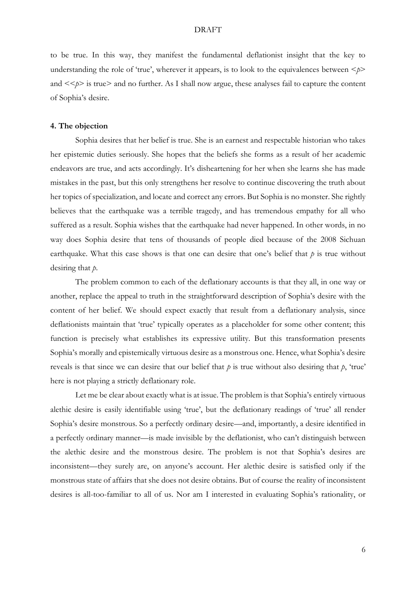to be true. In this way, they manifest the fundamental deflationist insight that the key to understanding the role of 'true', wherever it appears, is to look to the equivalences between  $\leq p$ and  $\langle \langle p \rangle$  is true and no further. As I shall now argue, these analyses fail to capture the content of Sophia's desire.

# **4. The objection**

Sophia desires that her belief is true. She is an earnest and respectable historian who takes her epistemic duties seriously. She hopes that the beliefs she forms as a result of her academic endeavors are true, and acts accordingly. It's disheartening for her when she learns she has made mistakes in the past, but this only strengthens her resolve to continue discovering the truth about her topics of specialization, and locate and correct any errors. But Sophia is no monster. She rightly believes that the earthquake was a terrible tragedy, and has tremendous empathy for all who suffered as a result. Sophia wishes that the earthquake had never happened. In other words, in no way does Sophia desire that tens of thousands of people died because of the 2008 Sichuan earthquake. What this case shows is that one can desire that one's belief that *p* is true without desiring that *p*.

The problem common to each of the deflationary accounts is that they all, in one way or another, replace the appeal to truth in the straightforward description of Sophia's desire with the content of her belief. We should expect exactly that result from a deflationary analysis, since deflationists maintain that 'true' typically operates as a placeholder for some other content; this function is precisely what establishes its expressive utility. But this transformation presents Sophia's morally and epistemically virtuous desire as a monstrous one. Hence, what Sophia's desire reveals is that since we can desire that our belief that *p* is true without also desiring that *p*, 'true' here is not playing a strictly deflationary role.

Let me be clear about exactly what is at issue. The problem is that Sophia's entirely virtuous alethic desire is easily identifiable using 'true', but the deflationary readings of 'true' all render Sophia's desire monstrous. So a perfectly ordinary desire—and, importantly, a desire identified in a perfectly ordinary manner—is made invisible by the deflationist, who can't distinguish between the alethic desire and the monstrous desire. The problem is not that Sophia's desires are inconsistent—they surely are, on anyone's account. Her alethic desire is satisfied only if the monstrous state of affairs that she does not desire obtains. But of course the reality of inconsistent desires is all-too-familiar to all of us. Nor am I interested in evaluating Sophia's rationality, or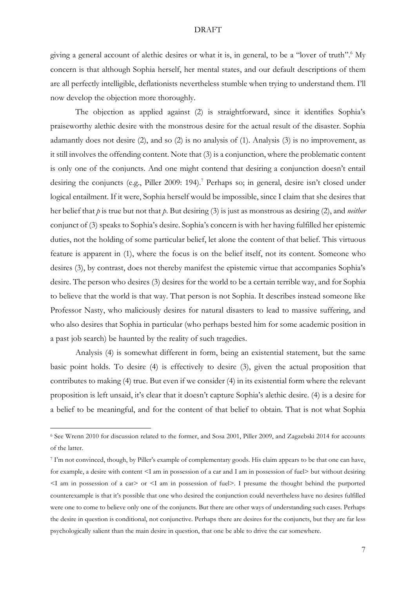giving a general account of alethic desires or what it is, in general, to be a "lover of truth".<sup>6</sup> My concern is that although Sophia herself, her mental states, and our default descriptions of them are all perfectly intelligible, deflationists nevertheless stumble when trying to understand them. I'll now develop the objection more thoroughly.

The objection as applied against (2) is straightforward, since it identifies Sophia's praiseworthy alethic desire with the monstrous desire for the actual result of the disaster. Sophia adamantly does not desire (2), and so (2) is no analysis of (1). Analysis (3) is no improvement, as it still involves the offending content. Note that (3) is a conjunction, where the problematic content is only one of the conjuncts. And one might contend that desiring a conjunction doesn't entail desiring the conjuncts (e.g., Piller 2009: 194).<sup>7</sup> Perhaps so; in general, desire isn't closed under logical entailment. If it were, Sophia herself would be impossible, since I claim that she desires that her belief that *p* is true but not that *p*. But desiring (3) is just as monstrous as desiring (2), and *neither* conjunct of (3) speaks to Sophia's desire. Sophia's concern is with her having fulfilled her epistemic duties, not the holding of some particular belief, let alone the content of that belief. This virtuous feature is apparent in (1), where the focus is on the belief itself, not its content. Someone who desires (3), by contrast, does not thereby manifest the epistemic virtue that accompanies Sophia's desire. The person who desires (3) desires for the world to be a certain terrible way, and for Sophia to believe that the world is that way. That person is not Sophia. It describes instead someone like Professor Nasty, who maliciously desires for natural disasters to lead to massive suffering, and who also desires that Sophia in particular (who perhaps bested him for some academic position in a past job search) be haunted by the reality of such tragedies.

Analysis (4) is somewhat different in form, being an existential statement, but the same basic point holds. To desire (4) is effectively to desire (3), given the actual proposition that contributes to making (4) true. But even if we consider (4) in its existential form where the relevant proposition is left unsaid, it's clear that it doesn't capture Sophia's alethic desire. (4) is a desire for a belief to be meaningful, and for the content of that belief to obtain. That is not what Sophia

<sup>6</sup> See Wrenn 2010 for discussion related to the former, and Sosa 2001, Piller 2009, and Zagzebski 2014 for accounts of the latter.

<sup>7</sup> I'm not convinced, though, by Piller's example of complementary goods. His claim appears to be that one can have, for example, a desire with content <I am in possession of a car and I am in possession of fuel> but without desiring <I am in possession of a car> or <I am in possession of fuel>. I presume the thought behind the purported counterexample is that it's possible that one who desired the conjunction could nevertheless have no desires fulfilled were one to come to believe only one of the conjuncts. But there are other ways of understanding such cases. Perhaps the desire in question is conditional, not conjunctive. Perhaps there are desires for the conjuncts, but they are far less psychologically salient than the main desire in question, that one be able to drive the car somewhere.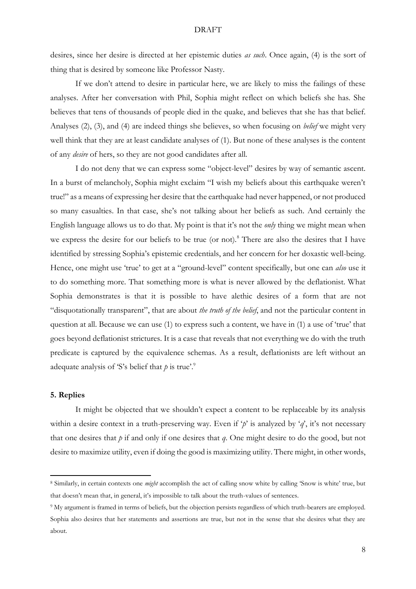desires, since her desire is directed at her epistemic duties *as such*. Once again, (4) is the sort of thing that is desired by someone like Professor Nasty.

If we don't attend to desire in particular here, we are likely to miss the failings of these analyses. After her conversation with Phil, Sophia might reflect on which beliefs she has. She believes that tens of thousands of people died in the quake, and believes that she has that belief. Analyses (2), (3), and (4) are indeed things she believes, so when focusing on *belief* we might very well think that they are at least candidate analyses of (1). But none of these analyses is the content of any *desire* of hers, so they are not good candidates after all.

I do not deny that we can express some "object-level" desires by way of semantic ascent. In a burst of melancholy, Sophia might exclaim "I wish my beliefs about this earthquake weren't true!" as a means of expressing her desire that the earthquake had never happened, or not produced so many casualties. In that case, she's not talking about her beliefs as such. And certainly the English language allows us to do that. My point is that it's not the *only* thing we might mean when we express the desire for our beliefs to be true (or not).<sup>8</sup> There are also the desires that I have identified by stressing Sophia's epistemic credentials, and her concern for her doxastic well-being. Hence, one might use 'true' to get at a "ground-level" content specifically, but one can *also* use it to do something more. That something more is what is never allowed by the deflationist. What Sophia demonstrates is that it is possible to have alethic desires of a form that are not "disquotationally transparent", that are about *the truth of the belief*, and not the particular content in question at all. Because we can use (1) to express such a content, we have in (1) a use of 'true' that goes beyond deflationist strictures. It is a case that reveals that not everything we do with the truth predicate is captured by the equivalence schemas. As a result, deflationists are left without an adequate analysis of 'S's belief that  $p$  is true'.<sup>9</sup>

### **5. Replies**

It might be objected that we shouldn't expect a content to be replaceable by its analysis within a desire context in a truth-preserving way. Even if '*p*' is analyzed by '*q*', it's not necessary that one desires that *p* if and only if one desires that *q*. One might desire to do the good, but not desire to maximize utility, even if doing the good is maximizing utility. There might, in other words,

<sup>8</sup> Similarly, in certain contexts one *might* accomplish the act of calling snow white by calling 'Snow is white' true, but that doesn't mean that, in general, it's impossible to talk about the truth-values of sentences.

<sup>9</sup> My argument is framed in terms of beliefs, but the objection persists regardless of which truth-bearers are employed. Sophia also desires that her statements and assertions are true, but not in the sense that she desires what they are about.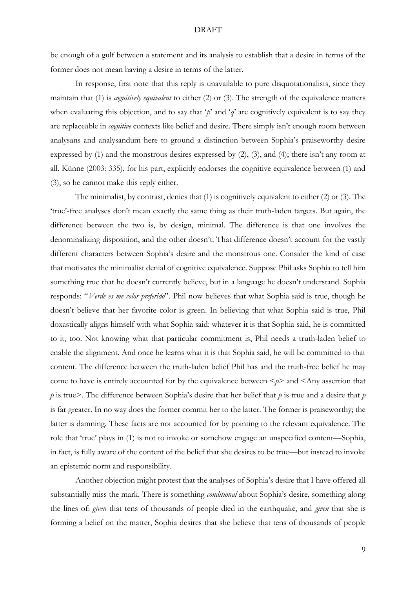be enough of a gulf between a statement and its analysis to establish that a desire in terms of the former does not mean having a desire in terms of the latter.

In response, first note that this reply is unavailable to pure disquotationalists, since they maintain that (1) is *cognitively equivalent* to either (2) or (3). The strength of the equivalence matters when evaluating this objection, and to say that '*p*' and '*q*' are cognitively equivalent is to say they are replaceable in *cognitive* contexts like belief and desire. There simply isn't enough room between analysans and analysandum here to ground a distinction between Sophia's praiseworthy desire expressed by (1) and the monstrous desires expressed by (2), (3), and (4); there isn't any room at all. Künne (2003: 335), for his part, explicitly endorses the cognitive equivalence between (1) and (3), so he cannot make this reply either.

The minimalist, by contrast, denies that (1) is cognitively equivalent to either (2) or (3). The 'true'-free analyses don't mean exactly the same thing as their truth-laden targets. But again, the difference between the two is, by design, minimal. The difference is that one involves the denominalizing disposition, and the other doesn't. That difference doesn't account for the vastly different characters between Sophia's desire and the monstrous one. Consider the kind of case that motivates the minimalist denial of cognitive equivalence. Suppose Phil asks Sophia to tell him something true that he doesn't currently believe, but in a language he doesn't understand. Sophia responds: "*Verde es me color preferido*". Phil now believes that what Sophia said is true, though he doesn't believe that her favorite color is green. In believing that what Sophia said is true, Phil doxastically aligns himself with what Sophia said: whatever it is that Sophia said, he is committed to it, too. Not knowing what that particular commitment is, Phil needs a truth-laden belief to enable the alignment. And once he learns what it is that Sophia said, he will be committed to that content. The difference between the truth-laden belief Phil has and the truth-free belief he may come to have is entirely accounted for by the equivalence between  $\langle p \rangle$  and  $\langle \text{Any assertion that} \rangle$ *p* is true>. The difference between Sophia's desire that her belief that *p* is true and a desire that *p* is far greater. In no way does the former commit her to the latter. The former is praiseworthy; the latter is damning. These facts are not accounted for by pointing to the relevant equivalence. The role that 'true' plays in (1) is not to invoke or somehow engage an unspecified content—Sophia, in fact, is fully aware of the content of the belief that she desires to be true—but instead to invoke an epistemic norm and responsibility.

Another objection might protest that the analyses of Sophia's desire that I have offered all substantially miss the mark. There is something *conditional* about Sophia's desire, something along the lines of: *given* that tens of thousands of people died in the earthquake, and *given* that she is forming a belief on the matter, Sophia desires that she believe that tens of thousands of people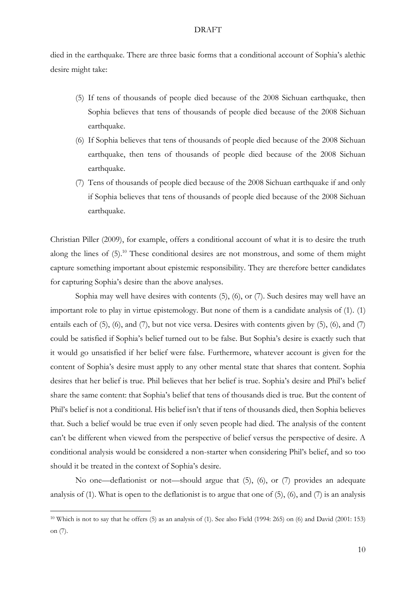died in the earthquake. There are three basic forms that a conditional account of Sophia's alethic desire might take:

- (5) If tens of thousands of people died because of the 2008 Sichuan earthquake, then Sophia believes that tens of thousands of people died because of the 2008 Sichuan earthquake.
- (6) If Sophia believes that tens of thousands of people died because of the 2008 Sichuan earthquake, then tens of thousands of people died because of the 2008 Sichuan earthquake.
- (7) Tens of thousands of people died because of the 2008 Sichuan earthquake if and only if Sophia believes that tens of thousands of people died because of the 2008 Sichuan earthquake.

Christian Piller (2009), for example, offers a conditional account of what it is to desire the truth along the lines of  $(5)$ <sup>10</sup>. These conditional desires are not monstrous, and some of them might capture something important about epistemic responsibility. They are therefore better candidates for capturing Sophia's desire than the above analyses.

Sophia may well have desires with contents (5), (6), or (7). Such desires may well have an important role to play in virtue epistemology. But none of them is a candidate analysis of (1). (1) entails each of (5), (6), and (7), but not vice versa. Desires with contents given by (5), (6), and (7) could be satisfied if Sophia's belief turned out to be false. But Sophia's desire is exactly such that it would go unsatisfied if her belief were false. Furthermore, whatever account is given for the content of Sophia's desire must apply to any other mental state that shares that content. Sophia desires that her belief is true. Phil believes that her belief is true. Sophia's desire and Phil's belief share the same content: that Sophia's belief that tens of thousands died is true. But the content of Phil's belief is not a conditional. His belief isn't that if tens of thousands died, then Sophia believes that. Such a belief would be true even if only seven people had died. The analysis of the content can't be different when viewed from the perspective of belief versus the perspective of desire. A conditional analysis would be considered a non-starter when considering Phil's belief, and so too should it be treated in the context of Sophia's desire.

No one—deflationist or not—should argue that (5), (6), or (7) provides an adequate analysis of (1). What is open to the deflationist is to argue that one of (5), (6), and (7) is an analysis

<sup>10</sup> Which is not to say that he offers (5) as an analysis of (1). See also Field (1994: 265) on (6) and David (2001: 153) on (7).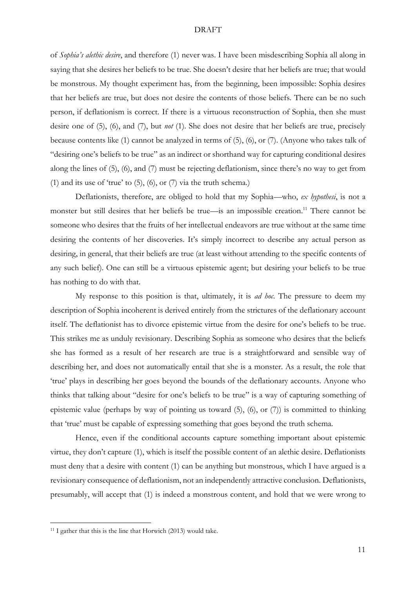of *Sophia's alethic desire*, and therefore (1) never was. I have been misdescribing Sophia all along in saying that she desires her beliefs to be true. She doesn't desire that her beliefs are true; that would be monstrous. My thought experiment has, from the beginning, been impossible: Sophia desires that her beliefs are true, but does not desire the contents of those beliefs. There can be no such person, if deflationism is correct. If there is a virtuous reconstruction of Sophia, then she must desire one of (5), (6), and (7), but *not* (1). She does not desire that her beliefs are true, precisely because contents like (1) cannot be analyzed in terms of (5), (6), or (7). (Anyone who takes talk of "desiring one's beliefs to be true" as an indirect or shorthand way for capturing conditional desires along the lines of (5), (6), and (7) must be rejecting deflationism, since there's no way to get from (1) and its use of 'true' to  $(5)$ ,  $(6)$ , or  $(7)$  via the truth schema.)

Deflationists, therefore, are obliged to hold that my Sophia—who, *ex hypothesi*, is not a monster but still desires that her beliefs be true—is an impossible creation.<sup>11</sup> There cannot be someone who desires that the fruits of her intellectual endeavors are true without at the same time desiring the contents of her discoveries. It's simply incorrect to describe any actual person as desiring, in general, that their beliefs are true (at least without attending to the specific contents of any such belief). One can still be a virtuous epistemic agent; but desiring your beliefs to be true has nothing to do with that.

My response to this position is that, ultimately, it is *ad hoc*. The pressure to deem my description of Sophia incoherent is derived entirely from the strictures of the deflationary account itself. The deflationist has to divorce epistemic virtue from the desire for one's beliefs to be true. This strikes me as unduly revisionary. Describing Sophia as someone who desires that the beliefs she has formed as a result of her research are true is a straightforward and sensible way of describing her, and does not automatically entail that she is a monster. As a result, the role that 'true' plays in describing her goes beyond the bounds of the deflationary accounts. Anyone who thinks that talking about "desire for one's beliefs to be true" is a way of capturing something of epistemic value (perhaps by way of pointing us toward (5), (6), or (7)) is committed to thinking that 'true' must be capable of expressing something that goes beyond the truth schema.

Hence, even if the conditional accounts capture something important about epistemic virtue, they don't capture (1), which is itself the possible content of an alethic desire. Deflationists must deny that a desire with content (1) can be anything but monstrous, which I have argued is a revisionary consequence of deflationism, not an independently attractive conclusion. Deflationists, presumably, will accept that (1) is indeed a monstrous content, and hold that we were wrong to

<sup>11</sup> I gather that this is the line that Horwich (2013) would take.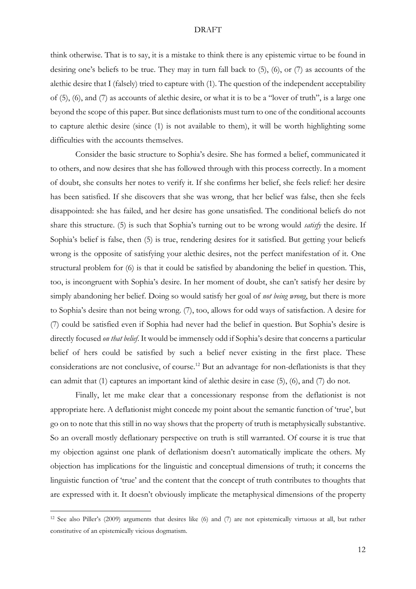think otherwise. That is to say, it is a mistake to think there is any epistemic virtue to be found in desiring one's beliefs to be true. They may in turn fall back to (5), (6), or (7) as accounts of the alethic desire that I (falsely) tried to capture with (1). The question of the independent acceptability of (5), (6), and (7) as accounts of alethic desire, or what it is to be a "lover of truth", is a large one beyond the scope of this paper. But since deflationists must turn to one of the conditional accounts to capture alethic desire (since (1) is not available to them), it will be worth highlighting some difficulties with the accounts themselves.

Consider the basic structure to Sophia's desire. She has formed a belief, communicated it to others, and now desires that she has followed through with this process correctly. In a moment of doubt, she consults her notes to verify it. If she confirms her belief, she feels relief: her desire has been satisfied. If she discovers that she was wrong, that her belief was false, then she feels disappointed: she has failed, and her desire has gone unsatisfied. The conditional beliefs do not share this structure. (5) is such that Sophia's turning out to be wrong would *satisfy* the desire. If Sophia's belief is false, then (5) is true, rendering desires for it satisfied. But getting your beliefs wrong is the opposite of satisfying your alethic desires, not the perfect manifestation of it. One structural problem for (6) is that it could be satisfied by abandoning the belief in question. This, too, is incongruent with Sophia's desire. In her moment of doubt, she can't satisfy her desire by simply abandoning her belief. Doing so would satisfy her goal of *not being wrong*, but there is more to Sophia's desire than not being wrong. (7), too, allows for odd ways of satisfaction. A desire for (7) could be satisfied even if Sophia had never had the belief in question. But Sophia's desire is directly focused *on that belief*. It would be immensely odd if Sophia's desire that concerns a particular belief of hers could be satisfied by such a belief never existing in the first place. These considerations are not conclusive, of course.<sup>12</sup> But an advantage for non-deflationists is that they can admit that (1) captures an important kind of alethic desire in case (5), (6), and (7) do not.

Finally, let me make clear that a concessionary response from the deflationist is not appropriate here. A deflationist might concede my point about the semantic function of 'true', but go on to note that this still in no way shows that the property of truth is metaphysically substantive. So an overall mostly deflationary perspective on truth is still warranted. Of course it is true that my objection against one plank of deflationism doesn't automatically implicate the others. My objection has implications for the linguistic and conceptual dimensions of truth; it concerns the linguistic function of 'true' and the content that the concept of truth contributes to thoughts that are expressed with it. It doesn't obviously implicate the metaphysical dimensions of the property

<sup>12</sup> See also Piller's (2009) arguments that desires like (6) and (7) are not epistemically virtuous at all, but rather constitutive of an epistemically vicious dogmatism.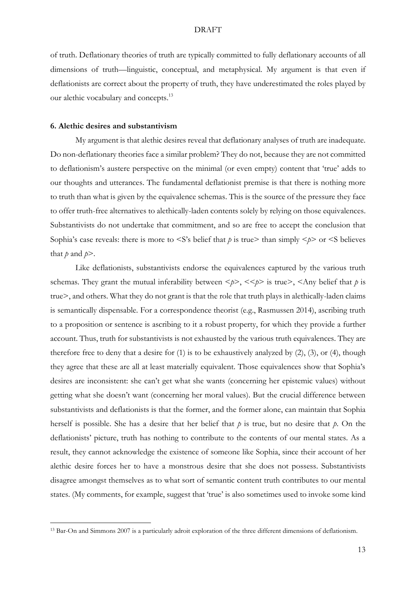of truth. Deflationary theories of truth are typically committed to fully deflationary accounts of all dimensions of truth—linguistic, conceptual, and metaphysical. My argument is that even if deflationists are correct about the property of truth, they have underestimated the roles played by our alethic vocabulary and concepts.<sup>13</sup>

### **6. Alethic desires and substantivism**

My argument is that alethic desires reveal that deflationary analyses of truth are inadequate. Do non-deflationary theories face a similar problem? They do not, because they are not committed to deflationism's austere perspective on the minimal (or even empty) content that 'true' adds to our thoughts and utterances. The fundamental deflationist premise is that there is nothing more to truth than what is given by the equivalence schemas. This is the source of the pressure they face to offer truth-free alternatives to alethically-laden contents solely by relying on those equivalences. Substantivists do not undertake that commitment, and so are free to accept the conclusion that Sophia's case reveals: there is more to  $\leq S$ 's belief that *p* is true> than simply  $\leq p$ > or  $\leq S$  believes that  $p$  and  $p$ >.

Like deflationists, substantivists endorse the equivalences captured by the various truth schemas. They grant the mutual inferability between  $\langle p \rangle$ ,  $\langle \langle p \rangle$  is true),  $\langle \langle \rangle$  and belief that p is true>, and others. What they do not grant is that the role that truth plays in alethically-laden claims is semantically dispensable. For a correspondence theorist (e.g., Rasmussen 2014), ascribing truth to a proposition or sentence is ascribing to it a robust property, for which they provide a further account. Thus, truth for substantivists is not exhausted by the various truth equivalences. They are therefore free to deny that a desire for  $(1)$  is to be exhaustively analyzed by  $(2)$ ,  $(3)$ , or  $(4)$ , though they agree that these are all at least materially equivalent. Those equivalences show that Sophia's desires are inconsistent: she can't get what she wants (concerning her epistemic values) without getting what she doesn't want (concerning her moral values). But the crucial difference between substantivists and deflationists is that the former, and the former alone, can maintain that Sophia herself is possible. She has a desire that her belief that *p* is true, but no desire that *p*. On the deflationists' picture, truth has nothing to contribute to the contents of our mental states. As a result, they cannot acknowledge the existence of someone like Sophia, since their account of her alethic desire forces her to have a monstrous desire that she does not possess. Substantivists disagree amongst themselves as to what sort of semantic content truth contributes to our mental states. (My comments, for example, suggest that 'true' is also sometimes used to invoke some kind

<sup>13</sup> Bar-On and Simmons 2007 is a particularly adroit exploration of the three different dimensions of deflationism.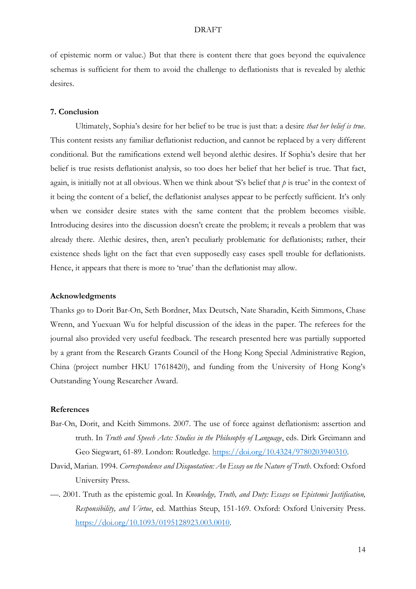of epistemic norm or value.) But that there is content there that goes beyond the equivalence schemas is sufficient for them to avoid the challenge to deflationists that is revealed by alethic desires.

### **7. Conclusion**

Ultimately, Sophia's desire for her belief to be true is just that: a desire *that her belief is true*. This content resists any familiar deflationist reduction, and cannot be replaced by a very different conditional. But the ramifications extend well beyond alethic desires. If Sophia's desire that her belief is true resists deflationist analysis, so too does her belief that her belief is true. That fact, again, is initially not at all obvious. When we think about 'S's belief that *p* is true' in the context of it being the content of a belief, the deflationist analyses appear to be perfectly sufficient. It's only when we consider desire states with the same content that the problem becomes visible. Introducing desires into the discussion doesn't create the problem; it reveals a problem that was already there. Alethic desires, then, aren't peculiarly problematic for deflationists; rather, their existence sheds light on the fact that even supposedly easy cases spell trouble for deflationists. Hence, it appears that there is more to 'true' than the deflationist may allow.

### **Acknowledgments**

Thanks go to Dorit Bar-On, Seth Bordner, Max Deutsch, Nate Sharadin, Keith Simmons, Chase Wrenn, and Yuexuan Wu for helpful discussion of the ideas in the paper. The referees for the journal also provided very useful feedback. The research presented here was partially supported by a grant from the Research Grants Council of the Hong Kong Special Administrative Region, China (project number HKU 17618420), and funding from the University of Hong Kong's Outstanding Young Researcher Award.

# **References**

- Bar-On, Dorit, and Keith Simmons. 2007. The use of force against deflationism: assertion and truth. In *Truth and Speech Acts: Studies in the Philosophy of Language*, eds. Dirk Greimann and Geo Siegwart, 61-89. London: Routledge. [https://doi.org/10.4324/9780203940310.](https://doi.org/10.4324/9780203940310)
- David, Marian. 1994. *Correspondence and Disquotation: An Essay on the Nature of Truth*. Oxford: Oxford University Press.
- —. 2001. Truth as the epistemic goal. In *Knowledge, Truth, and Duty: Essays on Epistemic Justification, Responsibility, and Virtue*, ed. Matthias Steup, 151-169. Oxford: Oxford University Press. [https://doi.org/10.1093/0195128923.003.0010.](https://doi.org/10.1093/0195128923.003.0010)